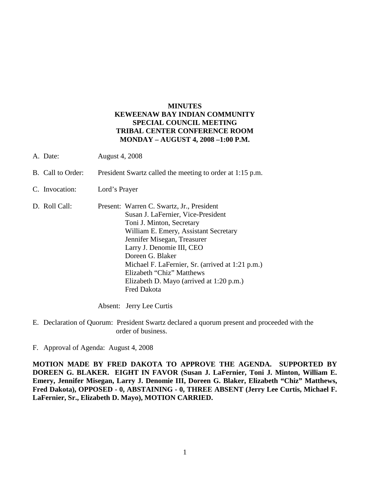## **MINUTES KEWEENAW BAY INDIAN COMMUNITY SPECIAL COUNCIL MEETING TRIBAL CENTER CONFERENCE ROOM MONDAY – AUGUST 4, 2008 –1:00 P.M.**

- A. Date: August 4, 2008
- B. Call to Order: President Swartz called the meeting to order at 1:15 p.m.
- C. Invocation: Lord's Prayer
- D. Roll Call: Present: Warren C. Swartz, Jr., President Susan J. LaFernier, Vice-President Toni J. Minton, Secretary William E. Emery, Assistant Secretary Jennifer Misegan, Treasurer Larry J. Denomie III, CEO Doreen G. Blaker Michael F. LaFernier, Sr. (arrived at 1:21 p.m.) Elizabeth "Chiz" Matthews Elizabeth D. Mayo (arrived at 1:20 p.m.) Fred Dakota

Absent: Jerry Lee Curtis

- E. Declaration of Quorum: President Swartz declared a quorum present and proceeded with the order of business.
- F. Approval of Agenda: August 4, 2008

**MOTION MADE BY FRED DAKOTA TO APPROVE THE AGENDA. SUPPORTED BY DOREEN G. BLAKER. EIGHT IN FAVOR (Susan J. LaFernier, Toni J. Minton, William E. Emery, Jennifer Misegan, Larry J. Denomie III, Doreen G. Blaker, Elizabeth "Chiz" Matthews, Fred Dakota), OPPOSED - 0, ABSTAINING - 0, THREE ABSENT (Jerry Lee Curtis, Michael F. LaFernier, Sr., Elizabeth D. Mayo), MOTION CARRIED.**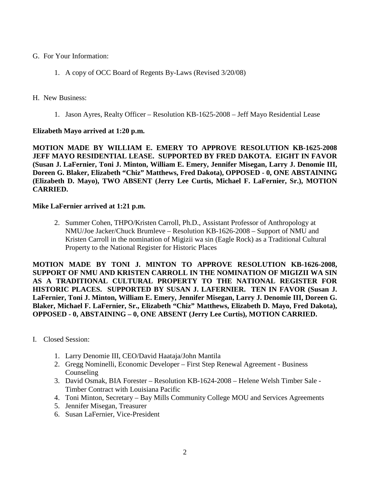- G. For Your Information:
	- 1. A copy of OCC Board of Regents By-Laws (Revised 3/20/08)
- H. New Business:
	- 1. Jason Ayres, Realty Officer Resolution KB-1625-2008 Jeff Mayo Residential Lease

## **Elizabeth Mayo arrived at 1:20 p.m.**

**MOTION MADE BY WILLIAM E. EMERY TO APPROVE RESOLUTION KB-1625-2008 JEFF MAYO RESIDENTIAL LEASE. SUPPORTED BY FRED DAKOTA. EIGHT IN FAVOR (Susan J. LaFernier, Toni J. Minton, William E. Emery, Jennifer Misegan, Larry J. Denomie III, Doreen G. Blaker, Elizabeth "Chiz" Matthews, Fred Dakota), OPPOSED - 0, ONE ABSTAINING (Elizabeth D. Mayo), TWO ABSENT (Jerry Lee Curtis, Michael F. LaFernier, Sr.), MOTION CARRIED.**

## **Mike LaFernier arrived at 1:21 p.m.**

2. Summer Cohen, THPO/Kristen Carroll, Ph.D., Assistant Professor of Anthropology at NMU/Joe Jacker/Chuck Brumleve – Resolution KB-1626-2008 – Support of NMU and Kristen Carroll in the nomination of Migizii wa sin (Eagle Rock) as a Traditional Cultural Property to the National Register for Historic Places

**MOTION MADE BY TONI J. MINTON TO APPROVE RESOLUTION KB-1626-2008, SUPPORT OF NMU AND KRISTEN CARROLL IN THE NOMINATION OF MIGIZII WA SIN AS A TRADITIONAL CULTURAL PROPERTY TO THE NATIONAL REGISTER FOR HISTORIC PLACES. SUPPORTED BY SUSAN J. LAFERNIER. TEN IN FAVOR (Susan J. LaFernier, Toni J. Minton, William E. Emery, Jennifer Misegan, Larry J. Denomie III, Doreen G. Blaker, Michael F. LaFernier, Sr., Elizabeth "Chiz" Matthews, Elizabeth D. Mayo, Fred Dakota), OPPOSED - 0, ABSTAINING – 0, ONE ABSENT (Jerry Lee Curtis), MOTION CARRIED.**

- I. Closed Session:
	- 1. Larry Denomie III, CEO/David Haataja/John Mantila
	- 2. Gregg Nominelli, Economic Developer First Step Renewal Agreement Business Counseling
	- 3. David Osmak, BIA Forester Resolution KB-1624-2008 Helene Welsh Timber Sale Timber Contract with Louisiana Pacific
	- 4. Toni Minton, Secretary Bay Mills Community College MOU and Services Agreements
	- 5. Jennifer Misegan, Treasurer
	- 6. Susan LaFernier, Vice-President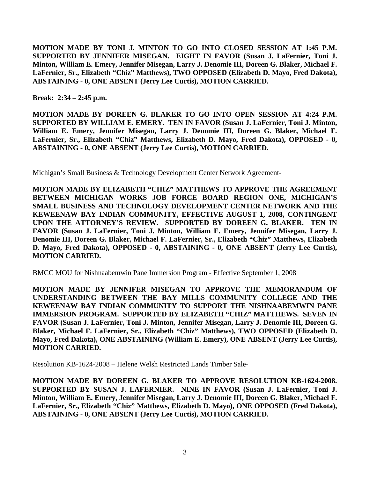**MOTION MADE BY TONI J. MINTON TO GO INTO CLOSED SESSION AT 1:45 P.M. SUPPORTED BY JENNIFER MISEGAN. EIGHT IN FAVOR (Susan J. LaFernier, Toni J. Minton, William E. Emery, Jennifer Misegan, Larry J. Denomie III, Doreen G. Blaker, Michael F. LaFernier, Sr., Elizabeth "Chiz" Matthews), TWO OPPOSED (Elizabeth D. Mayo, Fred Dakota), ABSTAINING - 0, ONE ABSENT (Jerry Lee Curtis), MOTION CARRIED.**

**Break: 2:34 – 2:45 p.m.**

**MOTION MADE BY DOREEN G. BLAKER TO GO INTO OPEN SESSION AT 4:24 P.M. SUPPORTED BY WILLIAM E. EMERY. TEN IN FAVOR (Susan J. LaFernier, Toni J. Minton, William E. Emery, Jennifer Misegan, Larry J. Denomie III, Doreen G. Blaker, Michael F. LaFernier, Sr., Elizabeth "Chiz" Matthews, Elizabeth D. Mayo, Fred Dakota), OPPOSED - 0, ABSTAINING - 0, ONE ABSENT (Jerry Lee Curtis), MOTION CARRIED.**

Michigan's Small Business & Technology Development Center Network Agreement-

**MOTION MADE BY ELIZABETH "CHIZ" MATTHEWS TO APPROVE THE AGREEMENT BETWEEN MICHIGAN WORKS JOB FORCE BOARD REGION ONE, MICHIGAN'S SMALL BUSINESS AND TECHNOLOGY DEVELOPMENT CENTER NETWORK AND THE KEWEENAW BAY INDIAN COMMUNITY, EFFECTIVE AUGUST 1, 2008, CONTINGENT UPON THE ATTORNEY'S REVIEW. SUPPORTED BY DOREEN G. BLAKER. TEN IN FAVOR (Susan J. LaFernier, Toni J. Minton, William E. Emery, Jennifer Misegan, Larry J. Denomie III, Doreen G. Blaker, Michael F. LaFernier, Sr., Elizabeth "Chiz" Matthews, Elizabeth D. Mayo, Fred Dakota), OPPOSED - 0, ABSTAINING - 0, ONE ABSENT (Jerry Lee Curtis), MOTION CARRIED.**

BMCC MOU for Nishnaabemwin Pane Immersion Program - Effective September 1, 2008

**MOTION MADE BY JENNIFER MISEGAN TO APPROVE THE MEMORANDUM OF UNDERSTANDING BETWEEN THE BAY MILLS COMMUNITY COLLEGE AND THE KEWEENAW BAY INDIAN COMMUNITY TO SUPPORT THE NISHNAABEMWIN PANE IMMERSION PROGRAM. SUPPORTED BY ELIZABETH "CHIZ" MATTHEWS. SEVEN IN FAVOR (Susan J. LaFernier, Toni J. Minton, Jennifer Misegan, Larry J. Denomie III, Doreen G. Blaker, Michael F. LaFernier, Sr., Elizabeth "Chiz" Matthews), TWO OPPOSED (Elizabeth D. Mayo, Fred Dakota), ONE ABSTAINING (William E. Emery), ONE ABSENT (Jerry Lee Curtis), MOTION CARRIED.**

Resolution KB-1624-2008 – Helene Welsh Restricted Lands Timber Sale-

**MOTION MADE BY DOREEN G. BLAKER TO APPROVE RESOLUTION KB-1624-2008. SUPPORTED BY SUSAN J. LAFERNIER. NINE IN FAVOR (Susan J. LaFernier, Toni J. Minton, William E. Emery, Jennifer Misegan, Larry J. Denomie III, Doreen G. Blaker, Michael F. LaFernier, Sr., Elizabeth "Chiz" Matthews, Elizabeth D. Mayo), ONE OPPOSED (Fred Dakota), ABSTAINING - 0, ONE ABSENT (Jerry Lee Curtis), MOTION CARRIED.**